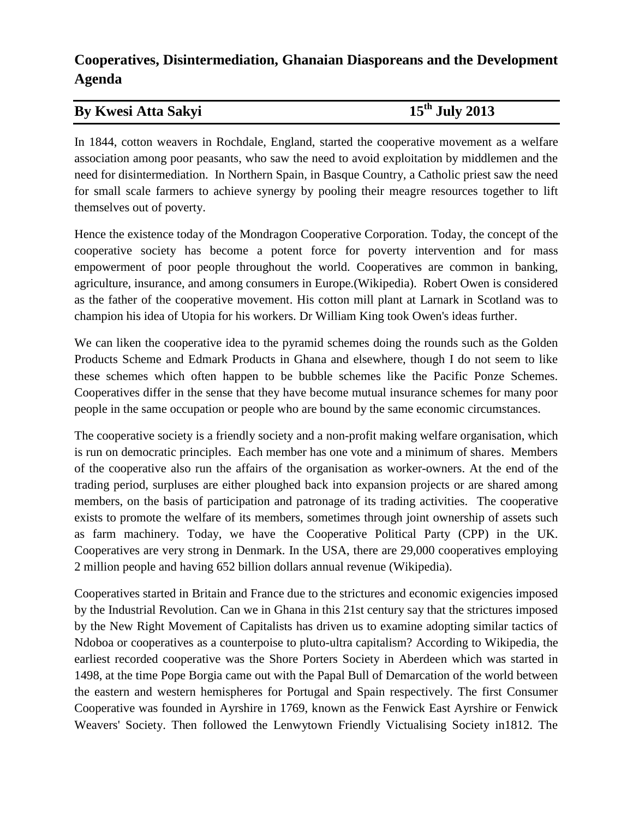## **Cooperatives, Disintermediation, Ghanaian Diasporeans and the Development Agenda**

## **By Kwesi Atta Sakyi 15**

**th July 2013**

In 1844, cotton weavers in Rochdale, England, started the cooperative movement as a welfare association among poor peasants, who saw the need to avoid exploitation by middlemen and the need for disintermediation. In Northern Spain, in Basque Country, a Catholic priest saw the need for small scale farmers to achieve synergy by pooling their meagre resources together to lift themselves out of poverty.

Hence the existence today of the Mondragon Cooperative Corporation. Today, the concept of the cooperative society has become a potent force for poverty intervention and for mass empowerment of poor people throughout the world. Cooperatives are common in banking, agriculture, insurance, and among consumers in Europe.(Wikipedia). Robert Owen is considered as the father of the cooperative movement. His cotton mill plant at Larnark in Scotland was to champion his idea of Utopia for his workers. Dr William King took Owen's ideas further.

We can liken the cooperative idea to the pyramid schemes doing the rounds such as the Golden Products Scheme and Edmark Products in Ghana and elsewhere, though I do not seem to like these schemes which often happen to be bubble schemes like the Pacific Ponze Schemes. Cooperatives differ in the sense that they have become mutual insurance schemes for many poor people in the same occupation or people who are bound by the same economic circumstances.

The cooperative society is a friendly society and a non-profit making welfare organisation, which is run on democratic principles. Each member has one vote and a minimum of shares. Members of the cooperative also run the affairs of the organisation as worker-owners. At the end of the trading period, surpluses are either ploughed back into expansion projects or are shared among members, on the basis of participation and patronage of its trading activities. The cooperative exists to promote the welfare of its members, sometimes through joint ownership of assets such as farm machinery. Today, we have the Cooperative Political Party (CPP) in the UK. Cooperatives are very strong in Denmark. In the USA, there are 29,000 cooperatives employing 2 million people and having 652 billion dollars annual revenue (Wikipedia).

Cooperatives started in Britain and France due to the strictures and economic exigencies imposed by the Industrial Revolution. Can we in Ghana in this 21st century say that the strictures imposed by the New Right Movement of Capitalists has driven us to examine adopting similar tactics of Ndoboa or cooperatives as a counterpoise to pluto-ultra capitalism? According to Wikipedia, the earliest recorded cooperative was the Shore Porters Society in Aberdeen which was started in 1498, at the time Pope Borgia came out with the Papal Bull of Demarcation of the world between the eastern and western hemispheres for Portugal and Spain respectively. The first Consumer Cooperative was founded in Ayrshire in 1769, known as the Fenwick East Ayrshire or Fenwick Weavers' Society. Then followed the Lenwytown Friendly Victualising Society in1812. The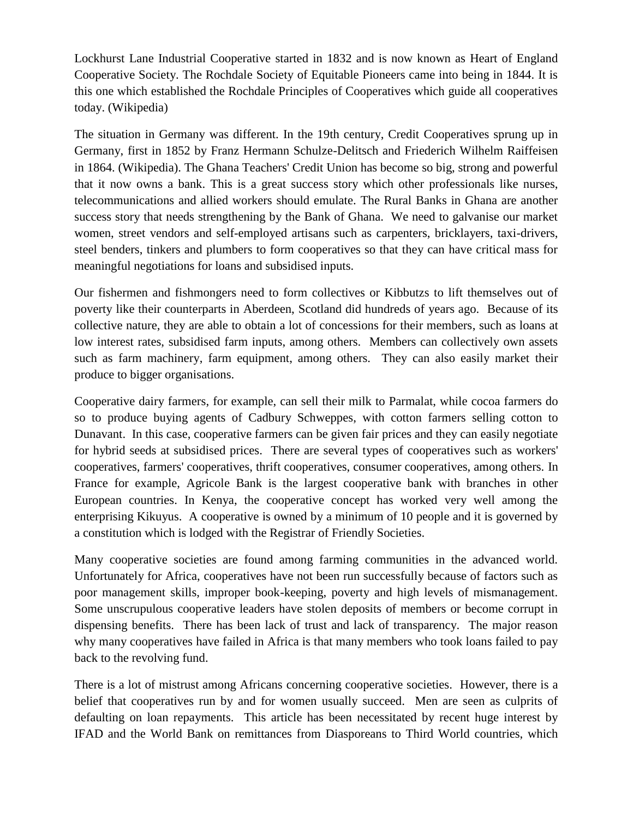Lockhurst Lane Industrial Cooperative started in 1832 and is now known as Heart of England Cooperative Society. The Rochdale Society of Equitable Pioneers came into being in 1844. It is this one which established the Rochdale Principles of Cooperatives which guide all cooperatives today. (Wikipedia)

The situation in Germany was different. In the 19th century, Credit Cooperatives sprung up in Germany, first in 1852 by Franz Hermann Schulze-Delitsch and Friederich Wilhelm Raiffeisen in 1864. (Wikipedia). The Ghana Teachers' Credit Union has become so big, strong and powerful that it now owns a bank. This is a great success story which other professionals like nurses, telecommunications and allied workers should emulate. The Rural Banks in Ghana are another success story that needs strengthening by the Bank of Ghana. We need to galvanise our market women, street vendors and self-employed artisans such as carpenters, bricklayers, taxi-drivers, steel benders, tinkers and plumbers to form cooperatives so that they can have critical mass for meaningful negotiations for loans and subsidised inputs.

Our fishermen and fishmongers need to form collectives or Kibbutzs to lift themselves out of poverty like their counterparts in Aberdeen, Scotland did hundreds of years ago. Because of its collective nature, they are able to obtain a lot of concessions for their members, such as loans at low interest rates, subsidised farm inputs, among others. Members can collectively own assets such as farm machinery, farm equipment, among others. They can also easily market their produce to bigger organisations.

Cooperative dairy farmers, for example, can sell their milk to Parmalat, while cocoa farmers do so to produce buying agents of Cadbury Schweppes, with cotton farmers selling cotton to Dunavant. In this case, cooperative farmers can be given fair prices and they can easily negotiate for hybrid seeds at subsidised prices. There are several types of cooperatives such as workers' cooperatives, farmers' cooperatives, thrift cooperatives, consumer cooperatives, among others. In France for example, Agricole Bank is the largest cooperative bank with branches in other European countries. In Kenya, the cooperative concept has worked very well among the enterprising Kikuyus. A cooperative is owned by a minimum of 10 people and it is governed by a constitution which is lodged with the Registrar of Friendly Societies.

Many cooperative societies are found among farming communities in the advanced world. Unfortunately for Africa, cooperatives have not been run successfully because of factors such as poor management skills, improper book-keeping, poverty and high levels of mismanagement. Some unscrupulous cooperative leaders have stolen deposits of members or become corrupt in dispensing benefits. There has been lack of trust and lack of transparency. The major reason why many cooperatives have failed in Africa is that many members who took loans failed to pay back to the revolving fund.

There is a lot of mistrust among Africans concerning cooperative societies. However, there is a belief that cooperatives run by and for women usually succeed. Men are seen as culprits of defaulting on loan repayments. This article has been necessitated by recent huge interest by IFAD and the World Bank on remittances from Diasporeans to Third World countries, which